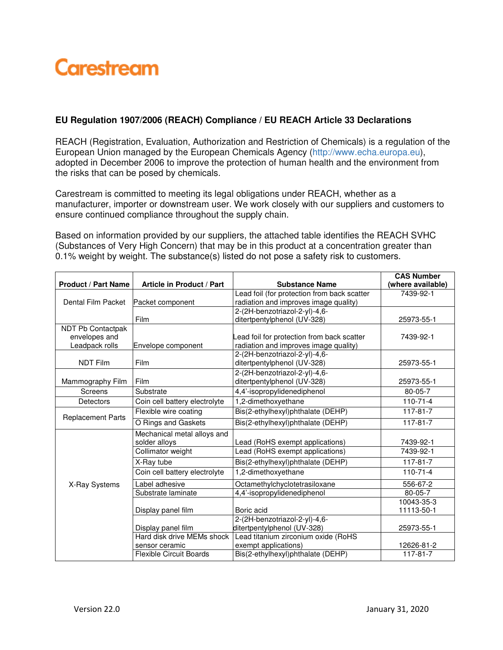

## **EU Regulation 1907/2006 (REACH) Compliance / EU REACH Article 33 Declarations**

REACH (Registration, Evaluation, Authorization and Restriction of Chemicals) is a regulation of the European Union managed by the European Chemicals Agency (http://www.echa.europa.eu), adopted in December 2006 to improve the protection of human health and the environment from the risks that can be posed by chemicals.

Carestream is committed to meeting its legal obligations under REACH, whether as a manufacturer, importer or downstream user. We work closely with our suppliers and customers to ensure continued compliance throughout the supply chain.

Based on information provided by our suppliers, the attached table identifies the REACH SVHC (Substances of Very High Concern) that may be in this product at a concentration greater than 0.1% weight by weight. The substance(s) listed do not pose a safety risk to customers.

|                            |                                |                                             | <b>CAS Number</b> |
|----------------------------|--------------------------------|---------------------------------------------|-------------------|
| <b>Product / Part Name</b> | Article in Product / Part      | <b>Substance Name</b>                       | (where available) |
|                            |                                | Lead foil (for protection from back scatter | 7439-92-1         |
| Dental Film Packet         | Packet component               | radiation and improves image quality)       |                   |
|                            |                                | 2-(2H-benzotriazol-2-yl)-4,6-               |                   |
|                            | Film                           | ditertpentylphenol (UV-328)                 | 25973-55-1        |
| <b>NDT Pb Contactpak</b>   |                                |                                             |                   |
| envelopes and              |                                | Lead foil for protection from back scatter  | 7439-92-1         |
| Leadpack rolls             | Envelope component             | radiation and improves image quality)       |                   |
|                            |                                | 2-(2H-benzotriazol-2-yl)-4,6-               |                   |
| <b>NDT Film</b>            | Film                           | ditertpentylphenol (UV-328)                 | 25973-55-1        |
|                            |                                | 2-(2H-benzotriazol-2-yl)-4,6-               |                   |
| Mammography Film           | Film                           | ditertpentylphenol (UV-328)                 | 25973-55-1        |
| Screens                    | Substrate                      | 4,4'-isopropylidenediphenol                 | 80-05-7           |
| <b>Detectors</b>           | Coin cell battery electrolyte  | 1,2-dimethoxyethane                         | $110 - 71 - 4$    |
| <b>Replacement Parts</b>   | Flexible wire coating          | Bis(2-ethylhexyl)phthalate (DEHP)           | $117 - 81 - 7$    |
|                            | O Rings and Gaskets            | Bis(2-ethylhexyl)phthalate (DEHP)           | $117 - 81 - 7$    |
| X-Ray Systems              | Mechanical metal alloys and    |                                             |                   |
|                            | solder alloys                  | Lead (RoHS exempt applications)             | 7439-92-1         |
|                            | Collimator weight              | Lead (RoHS exempt applications)             | 7439-92-1         |
|                            | X-Ray tube                     | Bis(2-ethylhexyl)phthalate (DEHP)           | $117 - 81 - 7$    |
|                            | Coin cell battery electrolyte  | 1,2-dimethoxyethane                         | $110 - 71 - 4$    |
|                            | Label adhesive                 | Octamethylchyclotetrasiloxane               | 556-67-2          |
|                            | Substrate laminate             | 4,4'-isopropylidenediphenol                 | 80-05-7           |
|                            |                                |                                             | 10043-35-3        |
|                            | Display panel film             | Boric acid                                  | 11113-50-1        |
|                            |                                | 2-(2H-benzotriazol-2-yl)-4,6-               |                   |
|                            | Display panel film             | ditertpentylphenol (UV-328)                 | 25973-55-1        |
|                            | Hard disk drive MEMs shock     | Lead titanium zirconium oxide (RoHS         |                   |
|                            | sensor ceramic                 | exempt applications)                        | 12626-81-2        |
|                            | <b>Flexible Circuit Boards</b> | Bis(2-ethylhexyl)phthalate (DEHP)           | $117 - 81 - 7$    |